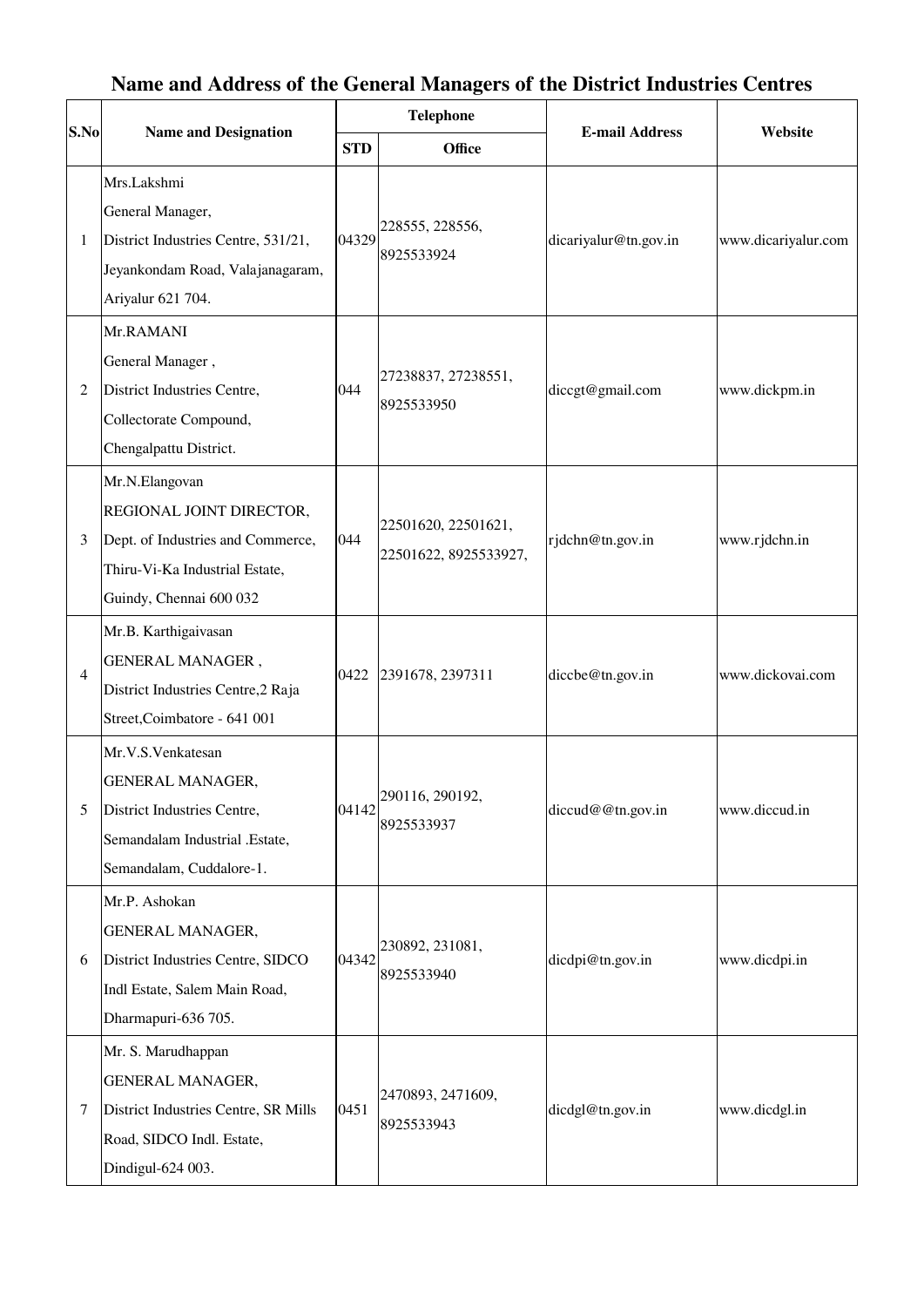## **S.No Name and Designation Telephone E-mail Address Website STD Office** 1 Mrs.Lakshmi General Manager, District Industries Centre, 531/21, Jeyankondam Road, Valajanagaram, Ariyalur 621 704. 04329 228555, 228556, 8925533924 dicariyalur@tn.gov.in www.dicariyalur.com 2 Mr.RAMANI General Manager , District Industries Centre, Collectorate Compound, Chengalpattu District. 044 27238837, 27238551, 8925533950 diccgt@gmail.com www.dickpm.in 3 Mr.N.Elangovan REGIONAL JOINT DIRECTOR, Dept. of Industries and Commerce, Thiru-Vi-Ka Industrial Estate, Guindy, Chennai 600 032 044 22501620, 22501621, 22501622, 8925533927, rjdchn@tn.gov.in www.rjdchn.in 4 Mr.B. Karthigaivasan GENERAL MANAGER , District Industries Centre,2 Raja Street,Coimbatore - 641 001 0422 2391678, 2397311 diccbe@tn.gov.in www.dickovai.com 5 Mr.V.S.Venkatesan GENERAL MANAGER, District Industries Centre, Semandalam Industrial .Estate, Semandalam, Cuddalore-1. 04142 290116, 290192, 8925533937 diccud@@tn.gov.in www.diccud.in 6 Mr.P. Ashokan GENERAL MANAGER, District Industries Centre, SIDCO Indl Estate, Salem Main Road, Dharmapuri-636 705. 04342 230892, 231081, 8925533940 dicdpi@tn.gov.in www.dicdpi.in 7 Mr. S. Marudhappan GENERAL MANAGER, District Industries Centre, SR Mills Road, SIDCO Indl. Estate, Dindigul-624 003. 0451 2470893, 2471609, 8925533943 dicdgl@tn.gov.in www.dicdgl.in

## **Name and Address of the General Managers of the District Industries Centres**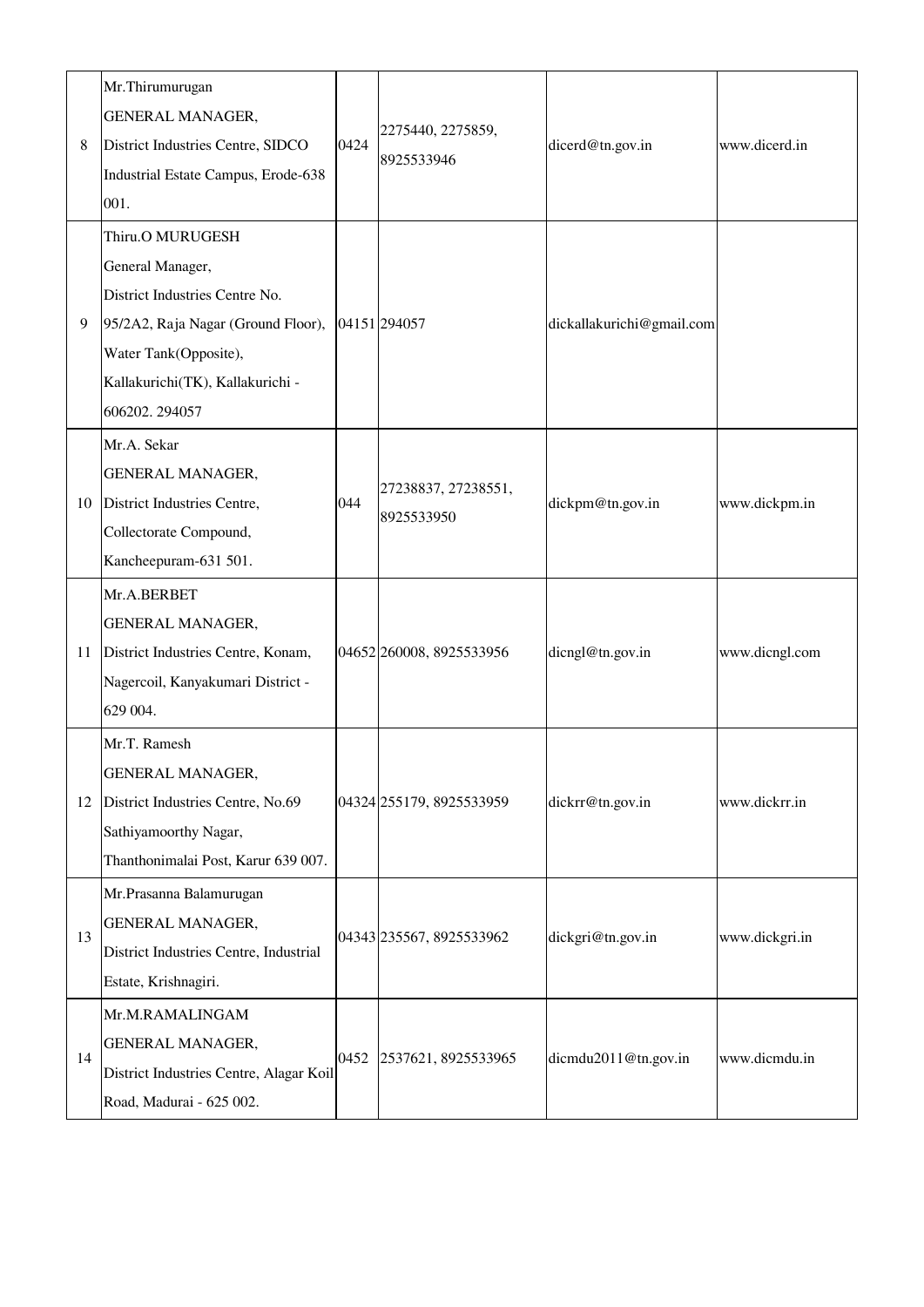| 8  | Mr.Thirumurugan<br><b>GENERAL MANAGER,</b><br>District Industries Centre, SIDCO<br>Industrial Estate Campus, Erode-638<br>001.                                                             | 0424 | 2275440, 2275859,<br>8925533946   | dicerd@tn.gov.in          | www.dicerd.in  |
|----|--------------------------------------------------------------------------------------------------------------------------------------------------------------------------------------------|------|-----------------------------------|---------------------------|----------------|
| 9  | Thiru.O MURUGESH<br>General Manager,<br>District Industries Centre No.<br>95/2A2, Raja Nagar (Ground Floor),<br>Water Tank(Opposite),<br>Kallakurichi(TK), Kallakurichi -<br>606202.294057 |      | 04151 294057                      | dickallakurichi@gmail.com |                |
| 10 | Mr.A. Sekar<br><b>GENERAL MANAGER,</b><br>District Industries Centre,<br>Collectorate Compound,<br>Kancheepuram-631 501.                                                                   | 044  | 27238837, 27238551,<br>8925533950 | dickpm@tn.gov.in          | www.dickpm.in  |
| 11 | Mr.A.BERBET<br>GENERAL MANAGER,<br>District Industries Centre, Konam,<br>Nagercoil, Kanyakumari District -<br>629 004.                                                                     |      | 04652 260008, 8925533956          | dicngl@tn.gov.in          | www.dicngl.com |
| 12 | Mr.T. Ramesh<br><b>GENERAL MANAGER,</b><br>District Industries Centre, No.69<br>Sathiyamoorthy Nagar,<br>Thanthonimalai Post, Karur 639 007.                                               |      | 04324 255179, 8925533959          | dickrr@tn.gov.in          | www.dickrr.in  |
| 13 | Mr.Prasanna Balamurugan<br><b>GENERAL MANAGER,</b><br>District Industries Centre, Industrial<br>Estate, Krishnagiri.                                                                       |      | 04343 235567, 8925533962          | dickgri@tn.gov.in         | www.dickgri.in |
| 14 | Mr.M.RAMALINGAM<br><b>GENERAL MANAGER,</b><br>District Industries Centre, Alagar Koil<br>Road, Madurai - 625 002.                                                                          | 0452 | 2537621, 8925533965               | dicmdu2011@tn.gov.in      | www.dicmdu.in  |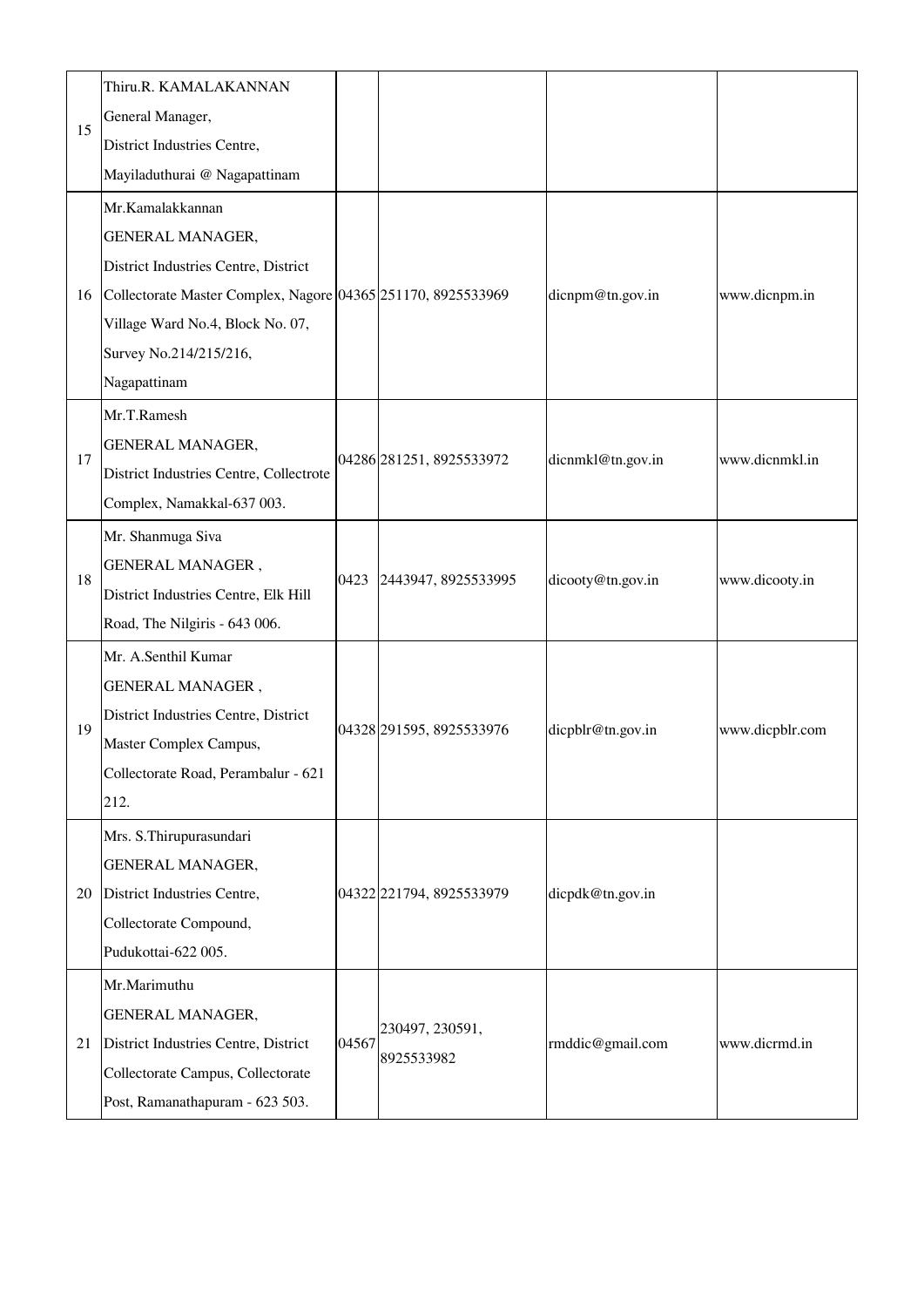| 15 | Thiru.R. KAMALAKANNAN<br>General Manager,<br>District Industries Centre,<br>Mayiladuthurai @ Nagapattinam                                                                                                                         |       |                               |                   |                 |
|----|-----------------------------------------------------------------------------------------------------------------------------------------------------------------------------------------------------------------------------------|-------|-------------------------------|-------------------|-----------------|
| 16 | Mr.Kamalakkannan<br><b>GENERAL MANAGER,</b><br>District Industries Centre, District<br>Collectorate Master Complex, Nagore 04365 251170, 8925533969<br>Village Ward No.4, Block No. 07,<br>Survey No.214/215/216,<br>Nagapattinam |       |                               | dicnpm@tn.gov.in  | www.dicnpm.in   |
| 17 | Mr.T.Ramesh<br><b>GENERAL MANAGER,</b><br>District Industries Centre, Collectrote<br>Complex, Namakkal-637 003.                                                                                                                   |       | 04286 281251, 8925533972      | dicnmkl@tn.gov.in | www.dicnmkl.in  |
| 18 | Mr. Shanmuga Siva<br>GENERAL MANAGER,<br>District Industries Centre, Elk Hill<br>Road, The Nilgiris - 643 006.                                                                                                                    | 0423  | 2443947, 8925533995           | dicooty@tn.gov.in | www.dicooty.in  |
| 19 | Mr. A.Senthil Kumar<br><b>GENERAL MANAGER,</b><br>District Industries Centre, District<br>Master Complex Campus,<br>Collectorate Road, Perambalur - 621<br>212.                                                                   |       | 04328 291595, 8925533976      | dicpblr@tn.gov.in | www.dicpblr.com |
| 20 | Mrs. S. Thirupurasundari<br>GENERAL MANAGER,<br>District Industries Centre,<br>Collectorate Compound,<br>Pudukottai-622 005.                                                                                                      |       | 04322 221794, 8925533979      | dicpdk@tn.gov.in  |                 |
| 21 | Mr.Marimuthu<br>GENERAL MANAGER,<br>District Industries Centre, District<br>Collectorate Campus, Collectorate<br>Post, Ramanathapuram - 623 503.                                                                                  | 04567 | 230497, 230591,<br>8925533982 | rmddic@gmail.com  | www.dicrmd.in   |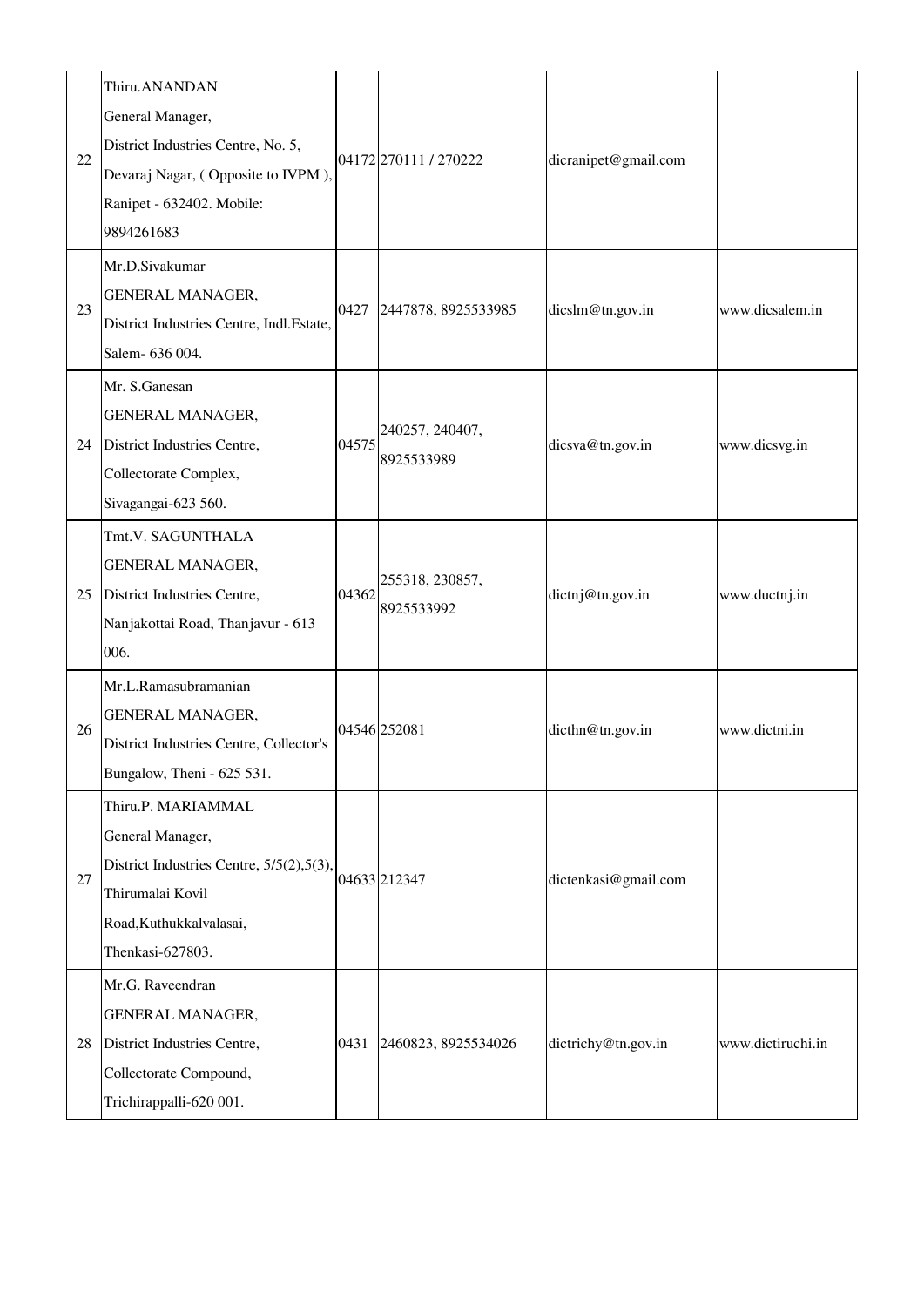| 22 | Thiru.ANANDAN<br>General Manager,<br>District Industries Centre, No. 5,<br>Devaraj Nagar, (Opposite to IVPM),<br>Ranipet - 632402. Mobile:<br>9894261683 |       | 04172270111/270222            | dicranipet@gmail.com |                   |
|----|----------------------------------------------------------------------------------------------------------------------------------------------------------|-------|-------------------------------|----------------------|-------------------|
| 23 | Mr.D.Sivakumar<br><b>GENERAL MANAGER,</b><br>District Industries Centre, Indl.Estate,<br>Salem- 636 004.                                                 | 0427  | 2447878, 8925533985           | dicslm@tn.gov.in     | www.dicsalem.in   |
| 24 | Mr. S.Ganesan<br>GENERAL MANAGER,<br>District Industries Centre,<br>Collectorate Complex,<br>Sivagangai-623 560.                                         | 04575 | 240257, 240407,<br>8925533989 | dicsva@tn.gov.in     | www.dicsvg.in     |
| 25 | Tmt.V. SAGUNTHALA<br><b>GENERAL MANAGER,</b><br>District Industries Centre,<br>Nanjakottai Road, Thanjavur - 613<br>006.                                 | 04362 | 255318, 230857,<br>8925533992 | dictnj@tn.gov.in     | www.ductnj.in     |
| 26 | Mr.L.Ramasubramanian<br>GENERAL MANAGER,<br>District Industries Centre, Collector's<br>Bungalow, Theni - 625 531.                                        |       | 04546 252081                  | dicthn@tn.gov.in     | www.dictni.in     |
| 27 | Thiru.P. MARIAMMAL<br>General Manager,<br>District Industries Centre, 5/5(2), 5(3),<br>Thirumalai Kovil<br>Road, Kuthukkalvalasai,<br>Thenkasi-627803.   |       | 04633212347                   | dictenkasi@gmail.com |                   |
| 28 | Mr.G. Raveendran<br>GENERAL MANAGER,<br>District Industries Centre,<br>Collectorate Compound,<br>Trichirappalli-620 001.                                 | 0431  | 2460823, 8925534026           | dictrichy@tn.gov.in  | www.dictiruchi.in |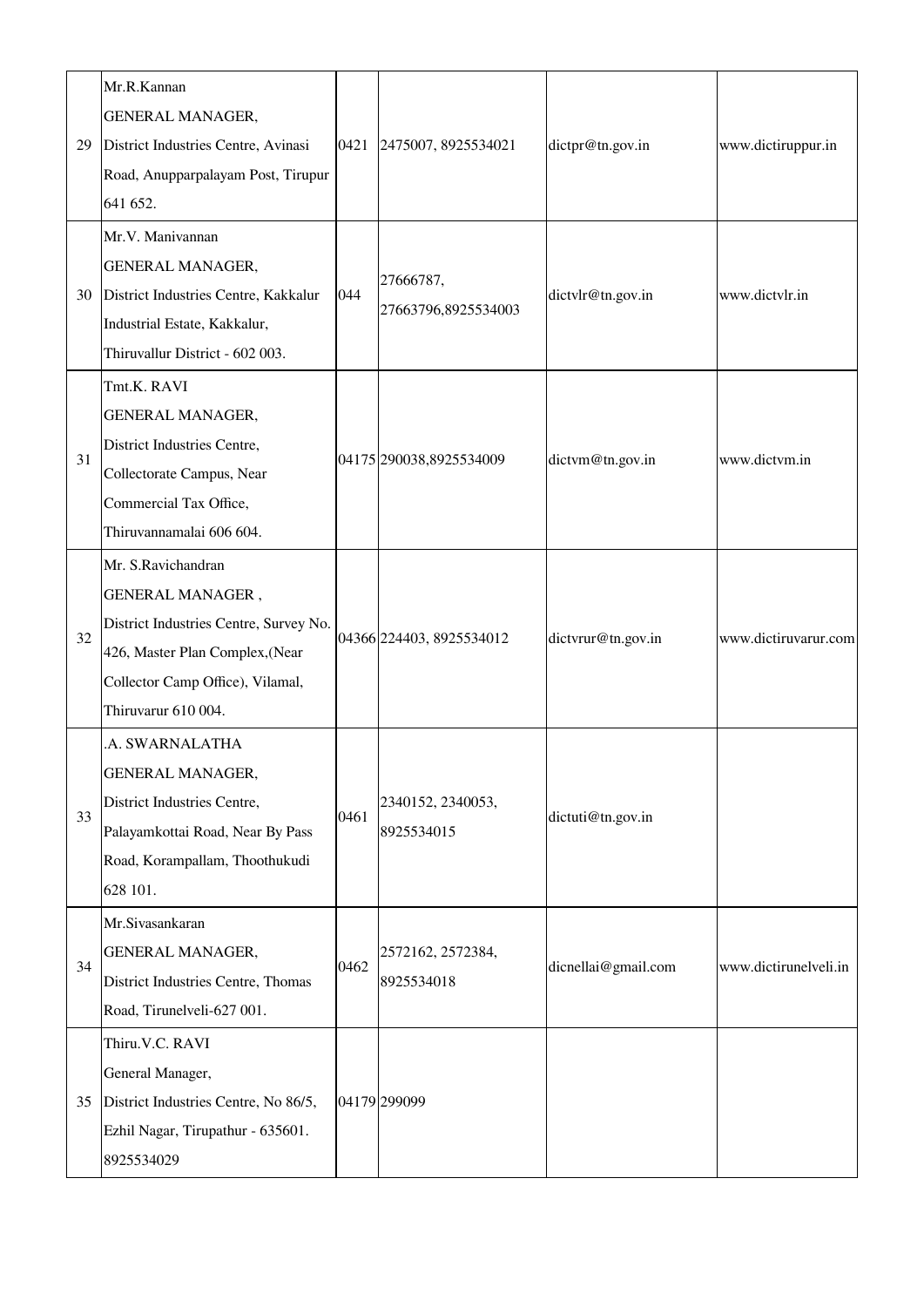| 29 | Mr.R.Kannan<br>GENERAL MANAGER,<br>District Industries Centre, Avinasi<br>Road, Anupparpalayam Post, Tirupur<br>641 652.                                                       |      | 0421 2475007, 8925534021         | dictpr@tn.gov.in    | www.dictiruppur.in    |
|----|--------------------------------------------------------------------------------------------------------------------------------------------------------------------------------|------|----------------------------------|---------------------|-----------------------|
| 30 | Mr.V. Manivannan<br>GENERAL MANAGER,<br>District Industries Centre, Kakkalur<br>Industrial Estate, Kakkalur,<br>Thiruvallur District - 602 003.                                | 044  | 27666787,<br>27663796,8925534003 | dictylr@tn.gov.in   | www.dictvlr.in        |
| 31 | Tmt.K. RAVI<br>GENERAL MANAGER,<br>District Industries Centre,<br>Collectorate Campus, Near<br>Commercial Tax Office,<br>Thiruvannamalai 606 604.                              |      | 04175 290038,8925534009          | dictym@tn.gov.in    | www.dictvm.in         |
| 32 | Mr. S.Ravichandran<br>GENERAL MANAGER,<br>District Industries Centre, Survey No.<br>426, Master Plan Complex, (Near<br>Collector Camp Office), Vilamal,<br>Thiruvarur 610 004. |      | 04366 224403, 8925534012         | dictvrur@tn.gov.in  | www.dictiruvarur.com  |
| 33 | A. SWARNALATHA<br>GENERAL MANAGER,<br>District Industries Centre,<br>Palayamkottai Road, Near By Pass<br>Road, Korampallam, Thoothukudi<br>628 101.                            | 0461 | 2340152, 2340053,<br>8925534015  | dictuti@tn.gov.in   |                       |
| 34 | Mr.Sivasankaran<br>GENERAL MANAGER,<br>District Industries Centre, Thomas<br>Road, Tirunelveli-627 001.                                                                        | 0462 | 2572162, 2572384,<br>8925534018  | dicnellai@gmail.com | www.dictirunelveli.in |
| 35 | Thiru.V.C. RAVI<br>General Manager,<br>District Industries Centre, No 86/5,<br>Ezhil Nagar, Tirupathur - 635601.<br>8925534029                                                 |      | 04179 299099                     |                     |                       |